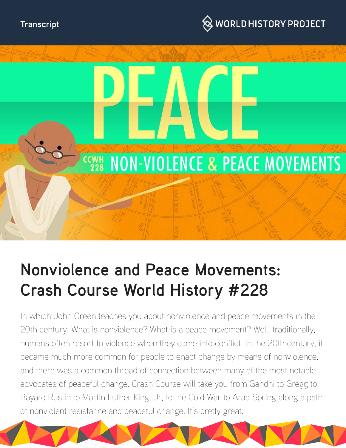





# **Nonviolence and Peace Movements: Crash Course World History #228**

In which John Green teaches you about nonviolence and peace movements in the 20th century. What is nonviolence? What is a peace movement? Well. traditionally, humans often resort to violence when they come into conflict. In the 20th century, it became much more common for people to enact change by means of nonviolence, and there was a common thread of connection between many of the most notable advocates of peaceful change. Crash Course will take you from Gandhi to Gregg to Bayard Rustin to Martin Luther King, Jr, to the Cold War to Arab Spring along a path of nonviolent resistance and peaceful change. It's pretty great.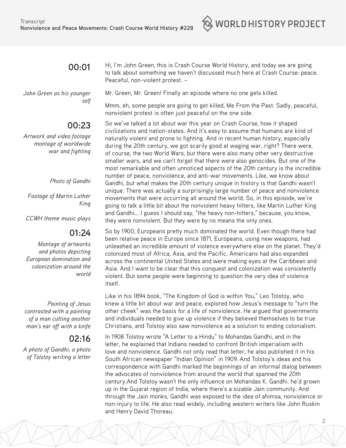# **00:01**

*John Green as his younger self*

# **00:23**

*Artwork and video footage montage of worldwide war and fighting*

#### *Photo of Gandhi*

*Footage of Martin Luther King*

*CCWH theme music plays*

## **01:24**

*Montage of artworks and photos depicting European domination and colonization around the world*

*Painting of Jesus contrasted with a painting of a man cutting another man's ear off with a knife*

## **02:16**

*A photo of Gandhi; a photo of Tolstoy writing a letter*

Hi, I'm John Green, this is Crash Course World History, and today we are going to talk about something we haven't discussed much here at Crash Course: peace. Peaceful, non-violent protest. –

 $\otimes$  world history project

Mr. Green, Mr. Green! Finally an episode where no one gets killed.

Mmm, eh, some people are going to get killed, Me From the Past. Sadly, peaceful, nonviolent protest is often just peaceful on the one side.

So we've talked a lot about war this year on Crash Course, how it shaped civilizations and nation-states. And it's easy to assume that humans are kind of naturally violent and prone to fighting. And in recent human history, especially during the 20th century, we got scarily good at waging war, right? There were, of course, the two World Wars, but there were also many other very destructive smaller wars, and we can't forget that there were also genocides. But one of the most remarkable and often unnoticed aspects of the 20th century is the incredible number of peace, nonviolence, and anti-war movements. Like, we know about Gandhi, but what makes the 20th century unique in history is that Gandhi wasn't unique. There was actually a surprisingly large number of peace and nonviolence movements that were occurring all around the world. So, in this episode, we're going to talk a little bit about the nonviolent heavy hitters, like Martin Luther King and Gandhi... I guess I should say, "the heavy non-hitters," because, you know, they were nonviolent. But they were by no means the only ones.

So by 1900, Europeans pretty much dominated the world. Even though there had been relative peace in Europe since 1871, Europeans, using new weapons, had unleashed an incredible amount of violence everywhere else on the planet. They'd colonized most of Africa, Asia, and the Pacific. Americans had also expanded across the continental United States and were making eyes at the Caribbean and Asia. And I want to be clear that this conquest and colonization was consistently violent. But some people were beginning to question the very idea of violence itself.

Like in his 1894 book, "The Kingdom of God is within You," Leo Tolstoy, who knew a little bit about war and peace, explored how Jesus's message to "turn the other cheek" was the basis for a life of nonviolence. He argued that governments and individuals needed to give up violence if they believed themselves to be true Christians, and Tolstoy also saw nonviolence as a solution to ending colonialism.

In 1908 Tolstoy wrote "A Letter to a Hindu" to Mohandas Gandhi, and in the letter, he explained that Indians needed to confront British imperialism with love and nonviolence. Gandhi not only read that letter, he also published it in his South African newspaper "Indian Opinion" in 1909. And Tolstoy's ideas and his correspondence with Gandhi marked the beginnings of an informal dialog between the advocates of nonviolence from around the world that spanned the 20th century.And Tolstoy wasn't the only influence on Mohandas K. Gandhi. he'd grown up in the Gujarat region of India, where there's a sizable Jain community. And through the Jain monks, Gandhi was exposed to the idea of ahimsa, nonviolence or non-injury to life. He also read widely, including western writers like John Ruskin and Henry David Thoreau.

2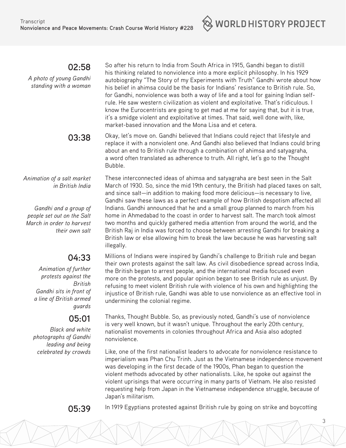$\otimes$  world history project

**02:58** 

*A photo of young Gandhi standing with a woman*

So after his return to India from South Africa in 1915, Gandhi began to distill his thinking related to nonviolence into a more explicit philosophy. In his 1929 autobiography "The Story of my Experiments with Truth" Gandhi wrote about how his belief in ahimsa could be the basis for Indians' resistance to British rule. So, for Gandhi, nonviolence was both a way of life and a tool for gaining Indian selfrule. He saw western civilization as violent and exploitative. That's ridiculous. I know the Eurocentrists are going to get mad at me for saying that, but it is true, it's a smidge violent and exploitative at times. That said, well done with, like, market-based innovation and the Mona Lisa and et cetera.

**03:38**  Okay, let's move on. Gandhi believed that Indians could reject that lifestyle and replace it with a nonviolent one. And Gandhi also believed that Indians could bring about an end to British rule through a combination of ahimsa and satyagraha, a word often translated as adherence to truth. All right, let's go to the Thought Bubble.

*Animation of a salt market in British India*

 *Gandhi and a group of people set out on the Salt March in order to harvest their own salt*

## **04:33**

*Animation of further protests against the British Gandhi sits in front of a line of British armed guards*

#### **05:01**

*Black and white photographs of Gandhi leading and being celebrated by crowds* These interconnected ideas of ahimsa and satyagraha are best seen in the Salt March of 1930. So, since the mid 19th century, the British had placed taxes on salt, and since salt—in addition to making food more delicious—is necessary to live, Gandhi saw these laws as a perfect example of how British despotism affected all Indians. Gandhi announced that he and a small group planned to march from his home in Ahmedabad to the coast in order to harvest salt. The march took almost two months and quickly gathered media attention from around the world, and the British Raj in India was forced to choose between arresting Gandhi for breaking a British law or else allowing him to break the law because he was harvesting salt illegally.

Millions of Indians were inspired by Gandhi's challenge to British rule and began their own protests against the salt law. As civil disobedience spread across India, the British began to arrest people, and the international media focused even more on the protests, and popular opinion began to see British rule as unjust. By refusing to meet violent British rule with violence of his own and highlighting the injustice of British rule, Gandhi was able to use nonviolence as an effective tool in undermining the colonial regime.

Thanks, Thought Bubble. So, as previously noted, Gandhi's use of nonviolence is very well known, but it wasn't unique. Throughout the early 20th century, nationalist movements in colonies throughout Africa and Asia also adopted nonviolence.

Like, one of the first nationalist leaders to advocate for nonviolence resistance to imperialism was Phan Chu Trinh. Just as the Vietnamese independence movement was developing in the first decade of the 1900s, Phan began to question the violent methods advocated by other nationalists. Like, he spoke out against the violent uprisings that were occurring in many parts of Vietnam. He also resisted requesting help from Japan in the Vietnamese independence struggle, because of Japan's militarism.



**05:39** In 1919 Egyptians protested against British rule by going on strike and boycotting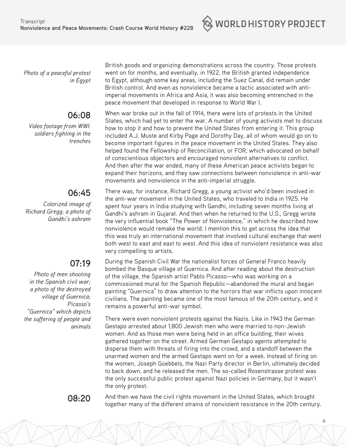$\otimes$  world history project

*Photo of a peaceful protest in Egypt*

# **06:08**

*Video footage from WWI: soldiers fighting in the trenches*

# **06:45**

*Colorized image of Richard Gregg; a photo of Gandhi's ashram*

# **07:19**

*Photo of men shooting in the Spanish civil war; a photo of the destroyed village of Guernica; Picasso's "Guernica" which depicts the suffering of people and animals* 

British goods and organizing demonstrations across the country. Those protests went on for months, and eventually, in 1922, the British granted independence to Egypt, although some key areas, including the Suez Canal, did remain under British control. And even as nonviolence became a tactic associated with antiimperial movements in Africa and Asia, it was also becoming entrenched in the peace movement that developed in response to World War I.

When war broke out in the fall of 1914, there were lots of protests in the United States, which had yet to enter the war. A number of young activists met to discuss how to stop it and how to prevent the United States from entering it. This group included A.J. Muste and Kirby Page and Dorothy Day, all of whom would go on to become important figures in the peace movement in the United States. They also helped found the Fellowship of Reconciliation, or FOR, which advocated on behalf of conscientious objectors and encouraged nonviolent alternatives to conflict. And then after the war ended, many of these American peace activists began to expand their horizons, and they saw connections between nonviolence in anti-war movements and nonviolence in the anti-imperial struggle.

There was, for instance, Richard Gregg, a young activist who'd been involved in the anti-war movement in the United States, who traveled to India in 1925. He spent four years in India studying with Gandhi, including seven months living at Gandhi's ashram in Gujarat. And then when he returned to the U.S., Gregg wrote the very influential book "The Power of Nonviolence," in which he described how nonviolence would remake the world. I mention this to get across the idea that this was truly an international movement that involved cultural exchange that went both west to east and east to west. And this idea of nonviolent resistance was also very compelling to artists.

During the Spanish Civil War the nationalist forces of General Franco heavily bombed the Basque village of Guernica. And after reading about the destruction of the village, the Spanish artist Pablo Picasso—who was working on a commissioned mural for the Spanish Republic—abandoned the mural and began painting "Guernica" to draw attention to the horrors that war inflicts upon innocent civilians. The painting became one of the most famous of the 20th century, and it remains a powerful anti-war symbol.

There were even nonviolent protests against the Nazis. Like in 1943 the German Gestapo arrested about 1,800 Jewish men who were married to non-Jewish women. And as those men were being held in an office building, their wives gathered together on the street. Armed German Gestapo agents attempted to disperse them with threats of firing into the crowd, and a standoff between the unarmed women and the armed Gestapo went on for a week. Instead of firing on the women, Joseph Goebbels, the Nazi Party director in Berlin, ultimately decided to back down, and he released the men. The so-called Rosenstrasse protest was the only successful public protest against Nazi policies in Germany, but it wasn't the only protest.

**08:20** And then we have the civil rights movement in the United States, which brought together many of the different strains of nonviolent resistance in the 20th century.

4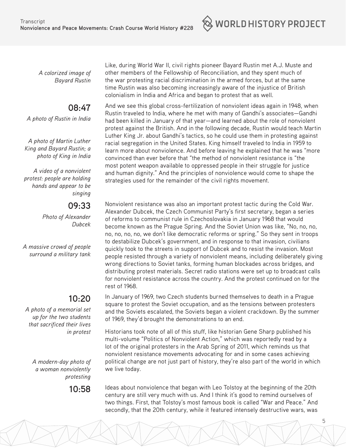$\otimes$  world history project

*A colorized image of Bayard Rustin*

# **08:47**

*A photo of Rustin in India*

*A photo of Martin Luther King and Bayard Rustin; a photo of King in India*

*A video of a nonviolent protest: people are holding hands and appear to be singing*

#### **09:33**

*Photo of Alexander Dubcek*

*A massive crowd of people surround a military tank*

# **10:20**

*A photo of a memorial set up for the two students that sacrificed their lives in protest*

> *A modern-day photo of a woman nonviolently protesting*

Like, during World War II, civil rights pioneer Bayard Rustin met A.J. Muste and other members of the Fellowship of Reconciliation, and they spent much of the war protesting racial discrimination in the armed forces, but at the same time Rustin was also becoming increasingly aware of the injustice of British colonialism in India and Africa and began to protest that as well.

And we see this global cross-fertilization of nonviolent ideas again in 1948, when Rustin traveled to India, where he met with many of Gandhi's associates—Gandhi had been killed in January of that year—and learned about the role of nonviolent protest against the British. And in the following decade, Rustin would teach Martin Luther King Jr. about Gandhi's tactics, so he could use them in protesting against racial segregation in the United States. King himself traveled to India in 1959 to learn more about nonviolence. And before leaving he explained that he was "more convinced than ever before that "the method of nonviolent resistance is "the most potent weapon available to oppressed people in their struggle for justice and human dignity." And the principles of nonviolence would come to shape the strategies used for the remainder of the civil rights movement.

Nonviolent resistance was also an important protest tactic during the Cold War. Alexander Dubcek, the Czech Communist Party's first secretary, began a series of reforms to communist rule in Czechoslovakia in January 1968 that would become known as the Prague Spring. And the Soviet Union was like, "No, no, no, no, no, no, no, we don't like democratic reforms or spring." So they sent in troops to destabilize Dubcek's government, and in response to that invasion, civilians quickly took to the streets in support of Dubcek and to resist the invasion. Most people resisted through a variety of nonviolent means, including deliberately giving wrong directions to Soviet tanks, forming human blockades across bridges, and distributing protest materials. Secret radio stations were set up to broadcast calls for nonviolent resistance across the country. And the protest continued on for the rest of 1968.

In January of 1969, two Czech students burned themselves to death in a Prague square to protest the Soviet occupation, and as the tensions between protesters and the Soviets escalated, the Soviets began a violent crackdown. By the summer of 1969, they'd brought the demonstrations to an end.

Historians took note of all of this stuff, like historian Gene Sharp published his multi-volume "Politics of Nonviolent Action," which was reportedly read by a lot of the original protesters in the Arab Spring of 2011, which reminds us that nonviolent resistance movements advocating for and in some cases achieving political change are not just part of history, they're also part of the world in which we live today.

**10:58** Ideas about nonviolence that began with Leo Tolstoy at the beginning of the 20th century are still very much with us. And I think it's good to remind ourselves of two things. First, that Tolstoy's most famous book is called "War and Peace." And secondly, that the 20th century, while it featured intensely destructive wars, was